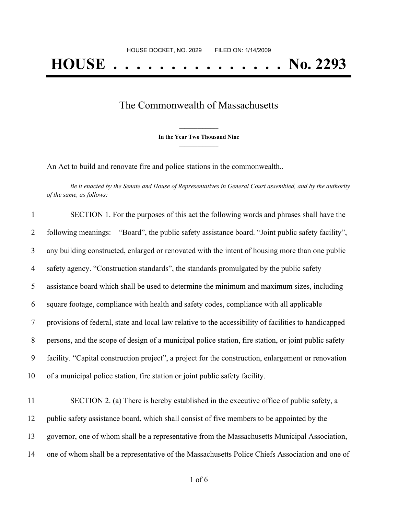## The Commonwealth of Massachusetts

**\_\_\_\_\_\_\_\_\_\_\_\_\_\_\_ In the Year Two Thousand Nine \_\_\_\_\_\_\_\_\_\_\_\_\_\_\_**

An Act to build and renovate fire and police stations in the commonwealth..

Be it enacted by the Senate and House of Representatives in General Court assembled, and by the authority *of the same, as follows:*

| $\mathbf{1}$   | SECTION 1. For the purposes of this act the following words and phrases shall have the                |
|----------------|-------------------------------------------------------------------------------------------------------|
| $\overline{2}$ | following meanings:—"Board", the public safety assistance board. "Joint public safety facility",      |
| 3              | any building constructed, enlarged or renovated with the intent of housing more than one public       |
| $\overline{4}$ | safety agency. "Construction standards", the standards promulgated by the public safety               |
| 5              | assistance board which shall be used to determine the minimum and maximum sizes, including            |
| 6              | square footage, compliance with health and safety codes, compliance with all applicable               |
| $\tau$         | provisions of federal, state and local law relative to the accessibility of facilities to handicapped |
| 8              | persons, and the scope of design of a municipal police station, fire station, or joint public safety  |
| 9              | facility. "Capital construction project", a project for the construction, enlargement or renovation   |
| 10             | of a municipal police station, fire station or joint public safety facility.                          |
| 11             | SECTION 2. (a) There is hereby established in the executive office of public safety, a                |
| 12             | public safety assistance board, which shall consist of five members to be appointed by the            |
| 13             | governor, one of whom shall be a representative from the Massachusetts Municipal Association,         |
| 14             | one of whom shall be a representative of the Massachusetts Police Chiefs Association and one of       |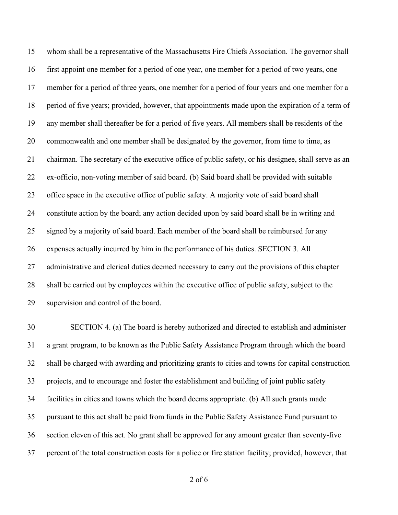whom shall be a representative of the Massachusetts Fire Chiefs Association. The governor shall first appoint one member for a period of one year, one member for a period of two years, one member for a period of three years, one member for a period of four years and one member for a period of five years; provided, however, that appointments made upon the expiration of a term of any member shall thereafter be for a period of five years. All members shall be residents of the commonwealth and one member shall be designated by the governor, from time to time, as chairman. The secretary of the executive office of public safety, or his designee, shall serve as an ex-officio, non-voting member of said board. (b) Said board shall be provided with suitable office space in the executive office of public safety. A majority vote of said board shall constitute action by the board; any action decided upon by said board shall be in writing and signed by a majority of said board. Each member of the board shall be reimbursed for any expenses actually incurred by him in the performance of his duties. SECTION 3. All administrative and clerical duties deemed necessary to carry out the provisions of this chapter shall be carried out by employees within the executive office of public safety, subject to the supervision and control of the board.

 SECTION 4. (a) The board is hereby authorized and directed to establish and administer a grant program, to be known as the Public Safety Assistance Program through which the board shall be charged with awarding and prioritizing grants to cities and towns for capital construction projects, and to encourage and foster the establishment and building of joint public safety facilities in cities and towns which the board deems appropriate. (b) All such grants made pursuant to this act shall be paid from funds in the Public Safety Assistance Fund pursuant to section eleven of this act. No grant shall be approved for any amount greater than seventy-five percent of the total construction costs for a police or fire station facility; provided, however, that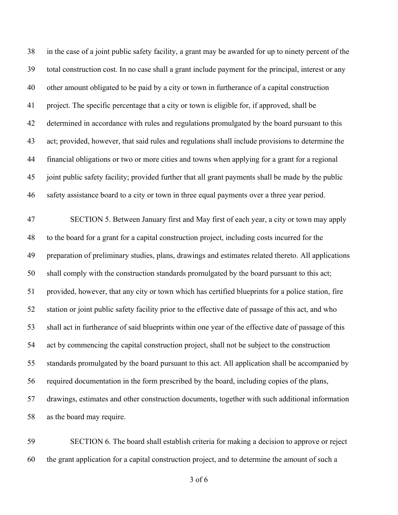in the case of a joint public safety facility, a grant may be awarded for up to ninety percent of the total construction cost. In no case shall a grant include payment for the principal, interest or any other amount obligated to be paid by a city or town in furtherance of a capital construction project. The specific percentage that a city or town is eligible for, if approved, shall be determined in accordance with rules and regulations promulgated by the board pursuant to this act; provided, however, that said rules and regulations shall include provisions to determine the financial obligations or two or more cities and towns when applying for a grant for a regional joint public safety facility; provided further that all grant payments shall be made by the public safety assistance board to a city or town in three equal payments over a three year period.

 SECTION 5. Between January first and May first of each year, a city or town may apply to the board for a grant for a capital construction project, including costs incurred for the preparation of preliminary studies, plans, drawings and estimates related thereto. All applications shall comply with the construction standards promulgated by the board pursuant to this act; provided, however, that any city or town which has certified blueprints for a police station, fire station or joint public safety facility prior to the effective date of passage of this act, and who shall act in furtherance of said blueprints within one year of the effective date of passage of this act by commencing the capital construction project, shall not be subject to the construction standards promulgated by the board pursuant to this act. All application shall be accompanied by required documentation in the form prescribed by the board, including copies of the plans, drawings, estimates and other construction documents, together with such additional information as the board may require.

 SECTION 6. The board shall establish criteria for making a decision to approve or reject the grant application for a capital construction project, and to determine the amount of such a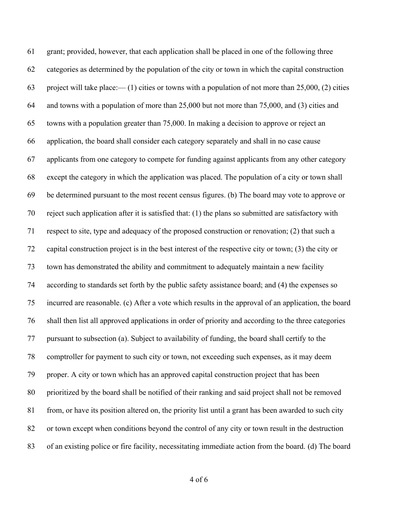grant; provided, however, that each application shall be placed in one of the following three categories as determined by the population of the city or town in which the capital construction project will take place:— (1) cities or towns with a population of not more than 25,000, (2) cities and towns with a population of more than 25,000 but not more than 75,000, and (3) cities and towns with a population greater than 75,000. In making a decision to approve or reject an application, the board shall consider each category separately and shall in no case cause applicants from one category to compete for funding against applicants from any other category except the category in which the application was placed. The population of a city or town shall be determined pursuant to the most recent census figures. (b) The board may vote to approve or reject such application after it is satisfied that: (1) the plans so submitted are satisfactory with respect to site, type and adequacy of the proposed construction or renovation; (2) that such a capital construction project is in the best interest of the respective city or town; (3) the city or town has demonstrated the ability and commitment to adequately maintain a new facility according to standards set forth by the public safety assistance board; and (4) the expenses so incurred are reasonable. (c) After a vote which results in the approval of an application, the board shall then list all approved applications in order of priority and according to the three categories pursuant to subsection (a). Subject to availability of funding, the board shall certify to the comptroller for payment to such city or town, not exceeding such expenses, as it may deem proper. A city or town which has an approved capital construction project that has been prioritized by the board shall be notified of their ranking and said project shall not be removed from, or have its position altered on, the priority list until a grant has been awarded to such city or town except when conditions beyond the control of any city or town result in the destruction of an existing police or fire facility, necessitating immediate action from the board. (d) The board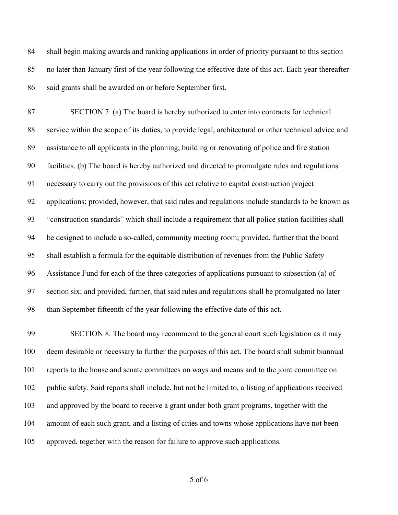shall begin making awards and ranking applications in order of priority pursuant to this section no later than January first of the year following the effective date of this act. Each year thereafter said grants shall be awarded on or before September first.

 SECTION 7. (a) The board is hereby authorized to enter into contracts for technical service within the scope of its duties, to provide legal, architectural or other technical advice and assistance to all applicants in the planning, building or renovating of police and fire station facilities. (b) The board is hereby authorized and directed to promulgate rules and regulations necessary to carry out the provisions of this act relative to capital construction project applications; provided, however, that said rules and regulations include standards to be known as "construction standards" which shall include a requirement that all police station facilities shall be designed to include a so-called, community meeting room; provided, further that the board shall establish a formula for the equitable distribution of revenues from the Public Safety Assistance Fund for each of the three categories of applications pursuant to subsection (a) of section six; and provided, further, that said rules and regulations shall be promulgated no later than September fifteenth of the year following the effective date of this act.

 SECTION 8. The board may recommend to the general court such legislation as it may deem desirable or necessary to further the purposes of this act. The board shall submit biannual reports to the house and senate committees on ways and means and to the joint committee on public safety. Said reports shall include, but not be limited to, a listing of applications received and approved by the board to receive a grant under both grant programs, together with the amount of each such grant, and a listing of cities and towns whose applications have not been approved, together with the reason for failure to approve such applications.